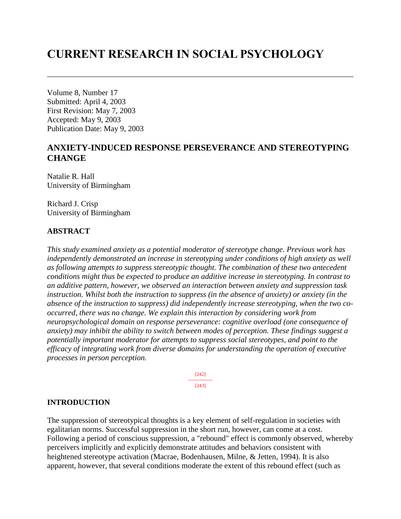# **CURRENT RESEARCH IN SOCIAL PSYCHOLOGY**

Volume 8, Number 17 Submitted: April 4, 2003 First Revision: May 7, 2003 Accepted: May 9, 2003 Publication Date: May 9, 2003

# **ANXIETY-INDUCED RESPONSE PERSEVERANCE AND STEREOTYPING CHANGE**

Natalie R. Hall University of Birmingham

Richard J. Crisp University of Birmingham

## **ABSTRACT**

*This study examined anxiety as a potential moderator of stereotype change. Previous work has independently demonstrated an increase in stereotyping under conditions of high anxiety as well as following attempts to suppress stereotypic thought. The combination of these two antecedent conditions might thus be expected to produce an additive increase in stereotyping. In contrast to an additive pattern, however, we observed an interaction between anxiety and suppression task instruction. Whilst both the instruction to suppress (in the absence of anxiety) or anxiety (in the absence of the instruction to suppress) did independently increase stereotyping, when the two cooccurred, there was no change. We explain this interaction by considering work from neuropsychological domain on response perseverance: cognitive overload (one consequence of anxiety) may inhibit the ability to switch between modes of perception. These findings suggest a potentially important moderator for attempts to suppress social stereotypes, and point to the efficacy of integrating work from diverse domains for understanding the operation of executive processes in person perception.*

> [242] --------------- [243]

## **INTRODUCTION**

The suppression of stereotypical thoughts is a key element of self-regulation in societies with egalitarian norms. Successful suppression in the short run, however, can come at a cost. Following a period of conscious suppression, a "rebound" effect is commonly observed, whereby perceivers implicitly and explicitly demonstrate attitudes and behaviors consistent with heightened stereotype activation (Macrae, Bodenhausen, Milne, & Jetten, 1994). It is also apparent, however, that several conditions moderate the extent of this rebound effect (such as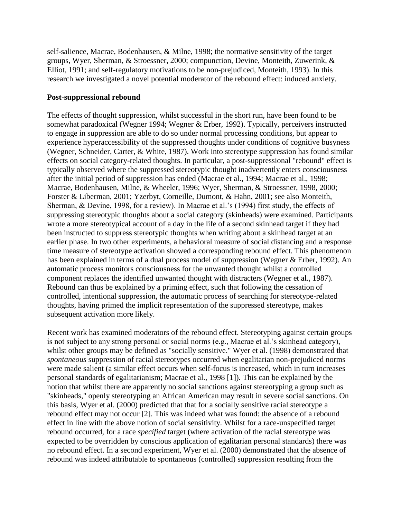self-salience, Macrae, Bodenhausen, & Milne, 1998; the normative sensitivity of the target groups, Wyer, Sherman, & Stroessner, 2000; compunction, Devine, Monteith, Zuwerink, & Elliot, 1991; and self-regulatory motivations to be non-prejudiced, Monteith, 1993). In this research we investigated a novel potential moderator of the rebound effect: induced anxiety.

#### **Post-suppressional rebound**

The effects of thought suppression, whilst successful in the short run, have been found to be somewhat paradoxical (Wegner 1994; Wegner & Erber, 1992). Typically, perceivers instructed to engage in suppression are able to do so under normal processing conditions, but appear to experience hyperaccessibility of the suppressed thoughts under conditions of cognitive busyness (Wegner, Schneider, Carter, & White, 1987). Work into stereotype suppression has found similar effects on social category-related thoughts. In particular, a post-suppressional "rebound" effect is typically observed where the suppressed stereotypic thought inadvertently enters consciousness after the initial period of suppression has ended (Macrae et al., 1994; Macrae et al., 1998; Macrae, Bodenhausen, Milne, & Wheeler, 1996; Wyer, Sherman, & Stroessner, 1998, 2000; Forster & Liberman, 2001; Yzerbyt, Corneille, Dumont, & Hahn, 2001; see also Monteith, Sherman, & Devine, 1998, for a review). In Macrae et al.'s (1994) first study, the effects of suppressing stereotypic thoughts about a social category (skinheads) were examined. Participants wrote a more stereotypical account of a day in the life of a second skinhead target if they had been instructed to suppress stereotypic thoughts when writing about a skinhead target at an earlier phase. In two other experiments, a behavioral measure of social distancing and a response time measure of stereotype activation showed a corresponding rebound effect. This phenomenon has been explained in terms of a dual process model of suppression (Wegner & Erber, 1992). An automatic process monitors consciousness for the unwanted thought whilst a controlled component replaces the identified unwanted thought with distracters (Wegner et al., 1987). Rebound can thus be explained by a priming effect, such that following the cessation of controlled, intentional suppression, the automatic process of searching for stereotype-related thoughts, having primed the implicit representation of the suppressed stereotype, makes subsequent activation more likely.

Recent work has examined moderators of the rebound effect. Stereotyping against certain groups is not subject to any strong personal or social norms (e.g., Macrae et al.'s skinhead category), whilst other groups may be defined as "socially sensitive." Wyer et al. (1998) demonstrated that *spontaneous* suppression of racial stereotypes occurred when egalitarian non-prejudiced norms were made salient (a similar effect occurs when self-focus is increased, which in turn increases personal standards of egalitarianism; Macrae et al., 1998 [1])*.* This can be explained by the notion that whilst there are apparently no social sanctions against stereotyping a group such as "skinheads," openly stereotyping an African American may result in severe social sanctions. On this basis, Wyer et al. (2000) predicted that that for a socially sensitive racial stereotype a rebound effect may not occur [2]. This was indeed what was found: the absence of a rebound effect in line with the above notion of social sensitivity. Whilst for a race-unspecified target rebound occurred, for a race *specified* target (where activation of the racial stereotype was expected to be overridden by conscious application of egalitarian personal standards) there was no rebound effect. In a second experiment, Wyer et al. (2000) demonstrated that the absence of rebound was indeed attributable to spontaneous (controlled) suppression resulting from the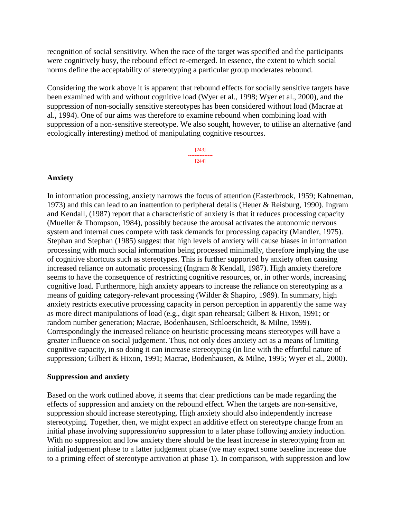recognition of social sensitivity. When the race of the target was specified and the participants were cognitively busy, the rebound effect re-emerged. In essence, the extent to which social norms define the acceptability of stereotyping a particular group moderates rebound.

Considering the work above it is apparent that rebound effects for socially sensitive targets have been examined with and without cognitive load (Wyer et al., 1998; Wyer et al., 2000), and the suppression of non-socially sensitive stereotypes has been considered without load (Macrae at al., 1994). One of our aims was therefore to examine rebound when combining load with suppression of a non-sensitive stereotype. We also sought, however, to utilise an alternative (and ecologically interesting) method of manipulating cognitive resources.

> [243] --------------- [244]

#### **Anxiety**

In information processing, anxiety narrows the focus of attention (Easterbrook, 1959; Kahneman, 1973) and this can lead to an inattention to peripheral details (Heuer & Reisburg, 1990). Ingram and Kendall, (1987) report that a characteristic of anxiety is that it reduces processing capacity (Mueller & Thompson, 1984), possibly because the arousal activates the autonomic nervous system and internal cues compete with task demands for processing capacity (Mandler, 1975). Stephan and Stephan (1985) suggest that high levels of anxiety will cause biases in information processing with much social information being processed minimally, therefore implying the use of cognitive shortcuts such as stereotypes. This is further supported by anxiety often causing increased reliance on automatic processing (Ingram & Kendall, 1987). High anxiety therefore seems to have the consequence of restricting cognitive resources, or, in other words, increasing cognitive load. Furthermore, high anxiety appears to increase the reliance on stereotyping as a means of guiding category-relevant processing (Wilder & Shapiro, 1989). In summary, high anxiety restricts executive processing capacity in person perception in apparently the same way as more direct manipulations of load (e.g., digit span rehearsal; Gilbert & Hixon, 1991; or random number generation; Macrae, Bodenhausen, Schloerscheidt, & Milne, 1999). Correspondingly the increased reliance on heuristic processing means stereotypes will have a greater influence on social judgement. Thus, not only does anxiety act as a means of limiting cognitive capacity, in so doing it can increase stereotyping (in line with the effortful nature of suppression; Gilbert & Hixon, 1991; Macrae, Bodenhausen, & Milne, 1995; Wyer et al., 2000).

#### **Suppression and anxiety**

Based on the work outlined above, it seems that clear predictions can be made regarding the effects of suppression and anxiety on the rebound effect. When the targets are non-sensitive, suppression should increase stereotyping. High anxiety should also independently increase stereotyping. Together, then, we might expect an additive effect on stereotype change from an initial phase involving suppression/no suppression to a later phase following anxiety induction. With no suppression and low anxiety there should be the least increase in stereotyping from an initial judgement phase to a latter judgement phase (we may expect some baseline increase due to a priming effect of stereotype activation at phase 1). In comparison, with suppression and low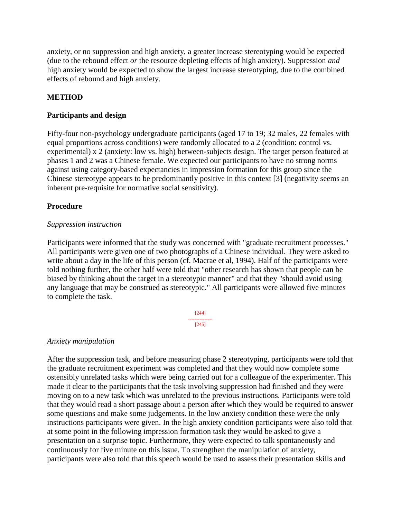anxiety, or no suppression and high anxiety, a greater increase stereotyping would be expected (due to the rebound effect *or* the resource depleting effects of high anxiety). Suppression *and* high anxiety would be expected to show the largest increase stereotyping, due to the combined effects of rebound and high anxiety.

## **METHOD**

## **Participants and design**

Fifty-four non-psychology undergraduate participants (aged 17 to 19; 32 males, 22 females with equal proportions across conditions) were randomly allocated to a 2 (condition: control vs. experimental) x 2 (anxiety: low vs. high) between-subjects design. The target person featured at phases 1 and 2 was a Chinese female. We expected our participants to have no strong norms against using category-based expectancies in impression formation for this group since the Chinese stereotype appears to be predominantly positive in this context [3] (negativity seems an inherent pre-requisite for normative social sensitivity).

## **Procedure**

## *Suppression instruction*

Participants were informed that the study was concerned with "graduate recruitment processes." All participants were given one of two photographs of a Chinese individual. They were asked to write about a day in the life of this person (cf. Macrae et al, 1994). Half of the participants were told nothing further, the other half were told that "other research has shown that people can be biased by thinking about the target in a stereotypic manner" and that they "should avoid using any language that may be construed as stereotypic." All participants were allowed five minutes to complete the task.

> [244] --------------- [245]

## *Anxiety manipulation*

After the suppression task, and before measuring phase 2 stereotyping, participants were told that the graduate recruitment experiment was completed and that they would now complete some ostensibly unrelated tasks which were being carried out for a colleague of the experimenter. This made it clear to the participants that the task involving suppression had finished and they were moving on to a new task which was unrelated to the previous instructions. Participants were told that they would read a short passage about a person after which they would be required to answer some questions and make some judgements. In the low anxiety condition these were the only instructions participants were given. In the high anxiety condition participants were also told that at some point in the following impression formation task they would be asked to give a presentation on a surprise topic. Furthermore, they were expected to talk spontaneously and continuously for five minute on this issue. To strengthen the manipulation of anxiety, participants were also told that this speech would be used to assess their presentation skills and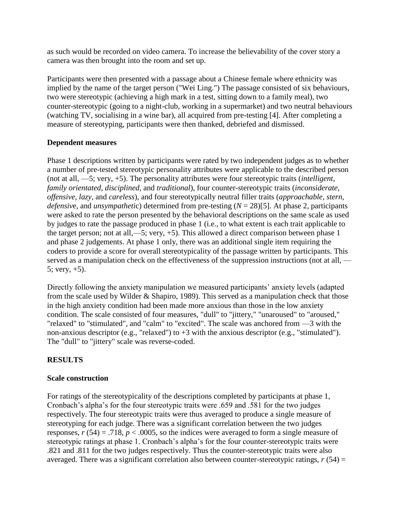as such would be recorded on video camera. To increase the believability of the cover story a camera was then brought into the room and set up.

Participants were then presented with a passage about a Chinese female where ethnicity was implied by the name of the target person ("Wei Ling.") The passage consisted of six behaviours, two were stereotypic (achieving a high mark in a test, sitting down to a family meal), two counter-stereotypic (going to a night-club, working in a supermarket) and two neutral behaviours (watching TV, socialising in a wine bar), all acquired from pre-testing [4]. After completing a measure of stereotyping, participants were then thanked, debriefed and dismissed.

## **Dependent measures**

Phase 1 descriptions written by participants were rated by two independent judges as to whether a number of pre-tested stereotypic personality attributes were applicable to the described person (not at all, —5; very, +5). The personality attributes were four stereotypic traits (*intelligent*, *family orientated*, *disciplined*, and *traditional*), four counter-stereotypic traits (*inconsiderate*, *offensive*, *lazy*, and *careless*), and four stereotypically neutral filler traits (*approachable*, *stern*, *defensiv*e, and *unsympatheti*c) determined from pre-testing (*N* = 28)[5]. At phase 2, participants were asked to rate the person presented by the behavioral descriptions on the same scale as used by judges to rate the passage produced in phase 1 (i.e., to what extent is each trait applicable to the target person; not at all,—5; very, +5). This allowed a direct comparison between phase 1 and phase 2 judgements. At phase 1 only, there was an additional single item requiring the coders to provide a score for overall stereotypicality of the passage written by participants. This served as a manipulation check on the effectiveness of the suppression instructions (not at all, — 5; very,  $+5$ ).

Directly following the anxiety manipulation we measured participants' anxiety levels (adapted from the scale used by Wilder & Shapiro, 1989). This served as a manipulation check that those in the high anxiety condition had been made more anxious than those in the low anxiety condition. The scale consisted of four measures, "dull" to "jittery," "unaroused" to "aroused," "relaxed" to "stimulated", and "calm" to "excited". The scale was anchored from —3 with the non-anxious descriptor (e.g., "relaxed") to +3 with the anxious descriptor (e.g., "stimulated"). The "dull" to "jittery" scale was reverse-coded.

## **RESULTS**

## **Scale construction**

For ratings of the stereotypicality of the descriptions completed by participants at phase 1, Cronbach's alpha's for the four stereotypic traits were .659 and .581 for the two judges respectively. The four stereotypic traits were thus averaged to produce a single measure of stereotyping for each judge. There was a significant correlation between the two judges responses,  $r(54) = .718$ ,  $p < .0005$ , so the indices were averaged to form a single measure of stereotypic ratings at phase 1. Cronbach's alpha's for the four counter-stereotypic traits were .821 and .811 for the two judges respectively. Thus the counter-stereotypic traits were also averaged. There was a significant correlation also between counter-stereotypic ratings,  $r(54) =$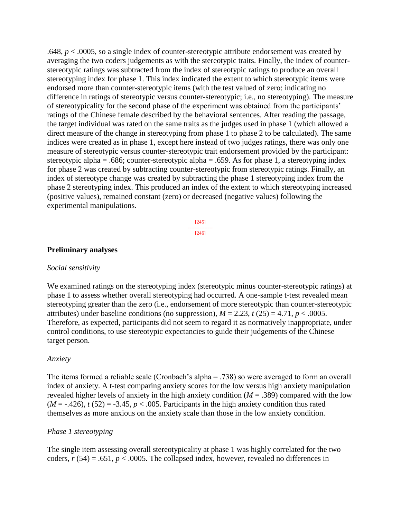.648, *p* < .0005, so a single index of counter-stereotypic attribute endorsement was created by averaging the two coders judgements as with the stereotypic traits. Finally, the index of counterstereotypic ratings was subtracted from the index of stereotypic ratings to produce an overall stereotyping index for phase 1. This index indicated the extent to which stereotypic items were endorsed more than counter-stereotypic items (with the test valued of zero: indicating no difference in ratings of stereotypic versus counter-stereotypic; i.e., no stereotyping). The measure of stereotypicality for the second phase of the experiment was obtained from the participants' ratings of the Chinese female described by the behavioral sentences. After reading the passage, the target individual was rated on the same traits as the judges used in phase 1 (which allowed a direct measure of the change in stereotyping from phase 1 to phase 2 to be calculated). The same indices were created as in phase 1, except here instead of two judges ratings, there was only one measure of stereotypic versus counter-stereotypic trait endorsement provided by the participant: stereotypic alpha = .686; counter-stereotypic alpha = .659. As for phase 1, a stereotyping index for phase 2 was created by subtracting counter-stereotypic from stereotypic ratings. Finally, an index of stereotype change was created by subtracting the phase 1 stereotyping index from the phase 2 stereotyping index. This produced an index of the extent to which stereotyping increased (positive values), remained constant (zero) or decreased (negative values) following the experimental manipulations.

> [245] --------------- [246]

#### **Preliminary analyses**

#### *Social sensitivity*

We examined ratings on the stereotyping index (stereotypic minus counter-stereotypic ratings) at phase 1 to assess whether overall stereotyping had occurred. A one-sample t-test revealed mean stereotyping greater than the zero (i.e., endorsement of more stereotypic than counter-stereotypic attributes) under baseline conditions (no suppression),  $M = 2.23$ ,  $t(25) = 4.71$ ,  $p < .0005$ . Therefore, as expected, participants did not seem to regard it as normatively inappropriate, under control conditions, to use stereotypic expectancies to guide their judgements of the Chinese target person.

#### *Anxiety*

The items formed a reliable scale (Cronbach's alpha = .738) so were averaged to form an overall index of anxiety. A t-test comparing anxiety scores for the low versus high anxiety manipulation revealed higher levels of anxiety in the high anxiety condition ( $M = .389$ ) compared with the low  $(M = -0.426)$ ,  $t(52) = -3.45$ ,  $p < 0.005$ . Participants in the high anxiety condition thus rated themselves as more anxious on the anxiety scale than those in the low anxiety condition.

#### *Phase 1 stereotyping*

The single item assessing overall stereotypicality at phase 1 was highly correlated for the two coders,  $r(54) = .651$ ,  $p < .0005$ . The collapsed index, however, revealed no differences in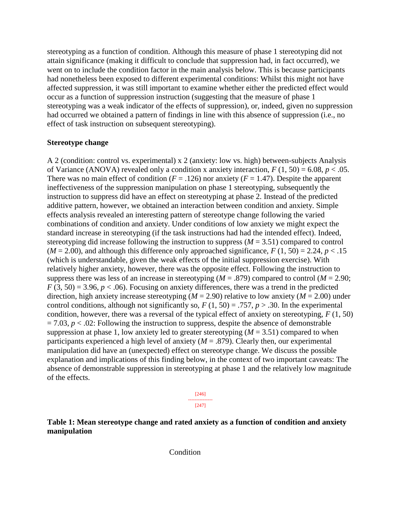stereotyping as a function of condition. Although this measure of phase 1 stereotyping did not attain significance (making it difficult to conclude that suppression had, in fact occurred), we went on to include the condition factor in the main analysis below. This is because participants had nonetheless been exposed to different experimental conditions: Whilst this might not have affected suppression, it was still important to examine whether either the predicted effect would occur as a function of suppression instruction (suggesting that the measure of phase 1 stereotyping was a weak indicator of the effects of suppression), or, indeed, given no suppression had occurred we obtained a pattern of findings in line with this absence of suppression (i.e., no effect of task instruction on subsequent stereotyping).

#### **Stereotype change**

A 2 (condition: control vs. experimental) x 2 (anxiety: low vs. high) between-subjects Analysis of Variance (ANOVA) revealed only a condition x anxiety interaction,  $F(1, 50) = 6.08$ ,  $p < .05$ . There was no main effect of condition  $(F = .126)$  nor anxiety  $(F = 1.47)$ . Despite the apparent ineffectiveness of the suppression manipulation on phase 1 stereotyping, subsequently the instruction to suppress did have an effect on stereotyping at phase 2. Instead of the predicted additive pattern, however, we obtained an interaction between condition and anxiety. Simple effects analysis revealed an interesting pattern of stereotype change following the varied combinations of condition and anxiety. Under conditions of low anxiety we might expect the standard increase in stereotyping (if the task instructions had had the intended effect). Indeed, stereotyping did increase following the instruction to suppress (*M* = 3.51) compared to control  $(M = 2.00)$ , and although this difference only approached significance,  $F(1, 50) = 2.24$ ,  $p < 0.15$ (which is understandable, given the weak effects of the initial suppression exercise). With relatively higher anxiety, however, there was the opposite effect. Following the instruction to suppress there was less of an increase in stereotyping ( $M = .879$ ) compared to control ( $M = 2.90$ ;  $F(3, 50) = 3.96, p < .06$ . Focusing on anxiety differences, there was a trend in the predicted direction, high anxiety increase stereotyping ( $M = 2.90$ ) relative to low anxiety ( $M = 2.00$ ) under control conditions, although not significantly so,  $F(1, 50) = .757$ ,  $p > .30$ . In the experimental condition, however, there was a reversal of the typical effect of anxiety on stereotyping, *F* (1, 50)  $= 7.03$ ,  $p < .02$ : Following the instruction to suppress, despite the absence of demonstrable suppression at phase 1, low anxiety led to greater stereotyping  $(M = 3.51)$  compared to when participants experienced a high level of anxiety  $(M = .879)$ . Clearly then, our experimental manipulation did have an (unexpected) effect on stereotype change. We discuss the possible explanation and implications of this finding below, in the context of two important caveats: The absence of demonstrable suppression in stereotyping at phase 1 and the relatively low magnitude of the effects.

> [246] --------------- [247]

**Table 1: Mean stereotype change and rated anxiety as a function of condition and anxiety manipulation**

Condition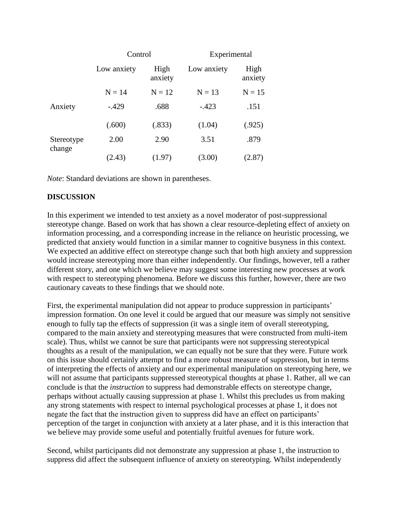|                      | Control     |                 | Experimental |                 |
|----------------------|-------------|-----------------|--------------|-----------------|
|                      | Low anxiety | High<br>anxiety | Low anxiety  | High<br>anxiety |
|                      | $N = 14$    | $N = 12$        | $N = 13$     | $N = 15$        |
| Anxiety              | $-429$      | .688            | $-.423$      | .151            |
|                      | (.600)      | (.833)          | (1.04)       | (.925)          |
| Stereotype<br>change | 2.00        | 2.90            | 3.51         | .879            |
|                      | (2.43)      | (1.97)          | (3.00)       | (2.87)          |

*Note*: Standard deviations are shown in parentheses.

## **DISCUSSION**

In this experiment we intended to test anxiety as a novel moderator of post-suppressional stereotype change. Based on work that has shown a clear resource-depleting effect of anxiety on information processing, and a corresponding increase in the reliance on heuristic processing, we predicted that anxiety would function in a similar manner to cognitive busyness in this context. We expected an additive effect on stereotype change such that both high anxiety and suppression would increase stereotyping more than either independently. Our findings, however, tell a rather different story, and one which we believe may suggest some interesting new processes at work with respect to stereotyping phenomena. Before we discuss this further, however, there are two cautionary caveats to these findings that we should note.

First, the experimental manipulation did not appear to produce suppression in participants' impression formation. On one level it could be argued that our measure was simply not sensitive enough to fully tap the effects of suppression (it was a single item of overall stereotyping, compared to the main anxiety and stereotyping measures that were constructed from multi-item scale). Thus, whilst we cannot be sure that participants were not suppressing stereotypical thoughts as a result of the manipulation, we can equally not be sure that they were. Future work on this issue should certainly attempt to find a more robust measure of suppression, but in terms of interpreting the effects of anxiety and our experimental manipulation on stereotyping here, we will not assume that participants suppressed stereotypical thoughts at phase 1. Rather, all we can conclude is that the *instruction* to suppress had demonstrable effects on stereotype change, perhaps without actually causing suppression at phase 1. Whilst this precludes us from making any strong statements with respect to internal psychological processes at phase 1, it does not negate the fact that the instruction given to suppress did have an effect on participants' perception of the target in conjunction with anxiety at a later phase, and it is this interaction that we believe may provide some useful and potentially fruitful avenues for future work.

Second, whilst participants did not demonstrate any suppression at phase 1, the instruction to suppress did affect the subsequent influence of anxiety on stereotyping. Whilst independently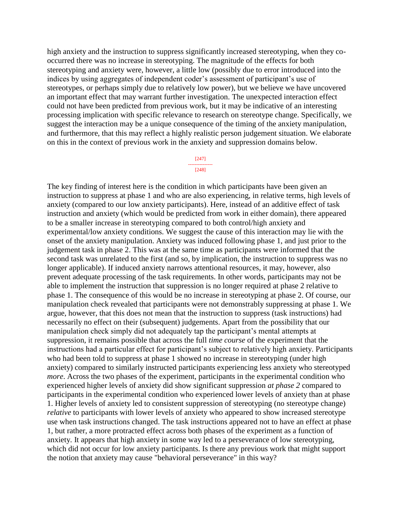high anxiety and the instruction to suppress significantly increased stereotyping, when they cooccurred there was no increase in stereotyping. The magnitude of the effects for both stereotyping and anxiety were, however, a little low (possibly due to error introduced into the indices by using aggregates of independent coder's assessment of participant's use of stereotypes, or perhaps simply due to relatively low power), but we believe we have uncovered an important effect that may warrant further investigation. The unexpected interaction effect could not have been predicted from previous work, but it may be indicative of an interesting processing implication with specific relevance to research on stereotype change. Specifically, we suggest the interaction may be a unique consequence of the timing of the anxiety manipulation, and furthermore, that this may reflect a highly realistic person judgement situation. We elaborate on this in the context of previous work in the anxiety and suppression domains below.

> [247] --------------- [248]

The key finding of interest here is the condition in which participants have been given an instruction to suppress at phase 1 and who are also experiencing, in relative terms, high levels of anxiety (compared to our low anxiety participants). Here, instead of an additive effect of task instruction and anxiety (which would be predicted from work in either domain), there appeared to be a smaller increase in stereotyping compared to both control/high anxiety and experimental/low anxiety conditions. We suggest the cause of this interaction may lie with the onset of the anxiety manipulation. Anxiety was induced following phase 1, and just prior to the judgement task in phase 2. This was at the same time as participants were informed that the second task was unrelated to the first (and so, by implication, the instruction to suppress was no longer applicable). If induced anxiety narrows attentional resources, it may, however, also prevent adequate processing of the task requirements. In other words, participants may not be able to implement the instruction that suppression is no longer required at phase 2 relative to phase 1. The consequence of this would be no increase in stereotyping at phase 2. Of course, our manipulation check revealed that participants were not demonstrably suppressing at phase 1. We argue, however, that this does not mean that the instruction to suppress (task instructions) had necessarily no effect on their (subsequent) judgements. Apart from the possibility that our manipulation check simply did not adequately tap the participant's mental attempts at suppression, it remains possible that across the full *time course* of the experiment that the instructions had a particular effect for participant's subject to relatively high anxiety. Participants who had been told to suppress at phase 1 showed no increase in stereotyping (under high anxiety) compared to similarly instructed participants experiencing less anxiety who stereotyped *more*. Across the two phases of the experiment, participants in the experimental condition who experienced higher levels of anxiety did show significant suppression *at phase 2* compared to participants in the experimental condition who experienced lower levels of anxiety than at phase 1. Higher levels of anxiety led to consistent suppression of stereotyping (no stereotype change) *relative* to participants with lower levels of anxiety who appeared to show increased stereotype use when task instructions changed. The task instructions appeared not to have an effect at phase 1, but rather, a more protracted effect across both phases of the experiment as a function of anxiety. It appears that high anxiety in some way led to a perseverance of low stereotyping, which did not occur for low anxiety participants. Is there any previous work that might support the notion that anxiety may cause "behavioral perseverance" in this way?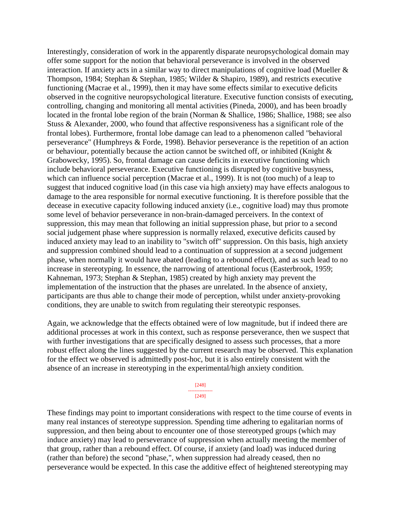Interestingly, consideration of work in the apparently disparate neuropsychological domain may offer some support for the notion that behavioral perseverance is involved in the observed interaction. If anxiety acts in a similar way to direct manipulations of cognitive load (Mueller & Thompson, 1984; Stephan & Stephan, 1985; Wilder & Shapiro, 1989), and restricts executive functioning (Macrae et al., 1999), then it may have some effects similar to executive deficits observed in the cognitive neuropsychological literature. Executive function consists of executing, controlling, changing and monitoring all mental activities (Pineda, 2000), and has been broadly located in the frontal lobe region of the brain (Norman & Shallice, 1986; Shallice, 1988; see also Stuss & Alexander, 2000, who found that affective responsiveness has a significant role of the frontal lobes). Furthermore, frontal lobe damage can lead to a phenomenon called "behavioral perseverance" (Humphreys & Forde, 1998). Behavior perseverance is the repetition of an action or behaviour, potentially because the action cannot be switched off, or inhibited (Knight & Grabowecky, 1995). So, frontal damage can cause deficits in executive functioning which include behavioral perseverance. Executive functioning is disrupted by cognitive busyness, which can influence social perception (Macrae et al., 1999). It is not (too much) of a leap to suggest that induced cognitive load (in this case via high anxiety) may have effects analogous to damage to the area responsible for normal executive functioning. It is therefore possible that the decease in executive capacity following induced anxiety (i.e., cognitive load) may thus promote some level of behavior perseverance in non-brain-damaged perceivers. In the context of suppression, this may mean that following an initial suppression phase, but prior to a second social judgement phase where suppression is normally relaxed, executive deficits caused by induced anxiety may lead to an inability to "switch off" suppression. On this basis, high anxiety and suppression combined should lead to a continuation of suppression at a second judgement phase, when normally it would have abated (leading to a rebound effect), and as such lead to no increase in stereotyping. In essence, the narrowing of attentional focus (Easterbrook, 1959; Kahneman, 1973; Stephan & Stephan, 1985) created by high anxiety may prevent the implementation of the instruction that the phases are unrelated. In the absence of anxiety, participants are thus able to change their mode of perception, whilst under anxiety-provoking conditions, they are unable to switch from regulating their stereotypic responses.

Again, we acknowledge that the effects obtained were of low magnitude, but if indeed there are additional processes at work in this context, such as response perseverance, then we suspect that with further investigations that are specifically designed to assess such processes, that a more robust effect along the lines suggested by the current research may be observed. This explanation for the effect we observed is admittedly post-hoc, but it is also entirely consistent with the absence of an increase in stereotyping in the experimental/high anxiety condition.

> [248] --------------- [249]

These findings may point to important considerations with respect to the time course of events in many real instances of stereotype suppression. Spending time adhering to egalitarian norms of suppression, and then being about to encounter one of those stereotyped groups (which may induce anxiety) may lead to perseverance of suppression when actually meeting the member of that group, rather than a rebound effect. Of course, if anxiety (and load) was induced during (rather than before) the second "phase,", when suppression had already ceased, then no perseverance would be expected. In this case the additive effect of heightened stereotyping may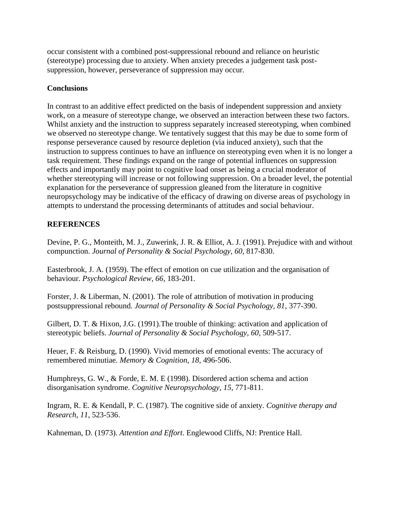occur consistent with a combined post-suppressional rebound and reliance on heuristic (stereotype) processing due to anxiety. When anxiety precedes a judgement task postsuppression, however, perseverance of suppression may occur.

## **Conclusions**

In contrast to an additive effect predicted on the basis of independent suppression and anxiety work, on a measure of stereotype change, we observed an interaction between these two factors. Whilst anxiety and the instruction to suppress separately increased stereotyping, when combined we observed no stereotype change. We tentatively suggest that this may be due to some form of response perseverance caused by resource depletion (via induced anxiety), such that the instruction to suppress continues to have an influence on stereotyping even when it is no longer a task requirement. These findings expand on the range of potential influences on suppression effects and importantly may point to cognitive load onset as being a crucial moderator of whether stereotyping will increase or not following suppression. On a broader level, the potential explanation for the perseverance of suppression gleaned from the literature in cognitive neuropsychology may be indicative of the efficacy of drawing on diverse areas of psychology in attempts to understand the processing determinants of attitudes and social behaviour.

## **REFERENCES**

Devine, P. G., Monteith, M. J., Zuwerink, J. R. & Elliot, A. J. (1991). Prejudice with and without compunction. *Journal of Personality & Social Psychology, 60,* 817-830.

Easterbrook, J. A. (1959). The effect of emotion on cue utilization and the organisation of behaviour. *Psychological Review, 66*, 183-201.

Forster, J. & Liberman, N. (2001). The role of attribution of motivation in producing postsuppressional rebound. *Journal of Personality & Social Psychology, 81,* 377-390.

Gilbert, D. T. & Hixon, J.G. (1991).The trouble of thinking: activation and application of stereotypic beliefs. *Journal of Personality & Social Psychology, 60,* 509-517.

Heuer, F. & Reisburg, D. (1990). Vivid memories of emotional events: The accuracy of remembered minutiae. *Memory & Cognition, 18,* 496-506.

Humphreys, G. W., & Forde, E. M. E (1998). Disordered action schema and action disorganisation syndrome. *Cognitive Neuropsychology, 15,* 771-811.

Ingram, R. E. & Kendall, P. C. (1987). The cognitive side of anxiety. *Cognitive therapy and Research, 11*, 523-536.

Kahneman, D. (1973). *Attention and Effort*. Englewood Cliffs, NJ: Prentice Hall.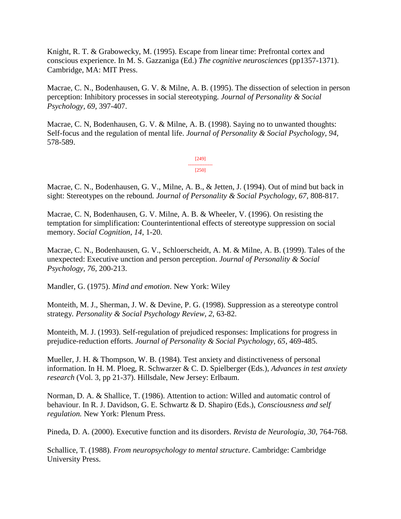Knight, R. T. & Grabowecky, M. (1995). Escape from linear time: Prefrontal cortex and conscious experience. In M. S. Gazzaniga (Ed.) *The cognitive neurosciences* (pp1357-1371). Cambridge, MA: MIT Press.

Macrae, C. N., Bodenhausen, G. V. & Milne, A. B. (1995). The dissection of selection in person perception: Inhibitory processes in social stereotyping*. Journal of Personality & Social Psychology, 69,* 397-407.

Macrae, C. N, Bodenhausen, G. V. & Milne, A. B. (1998). Saying no to unwanted thoughts: Self-focus and the regulation of mental life. *Journal of Personality & Social Psychology, 94,* 578-589.

> [249] --------------- [250]

Macrae, C. N., Bodenhausen, G. V., Milne, A. B., & Jetten, J. (1994). Out of mind but back in sight: Stereotypes on the rebound*. Journal of Personality & Social Psychology, 67,* 808-817.

Macrae, C. N, Bodenhausen, G. V. Milne, A. B. & Wheeler, V. (1996). On resisting the temptation for simplification: Counterintentional effects of stereotype suppression on social memory. *Social Cognition, 14*, 1-20.

Macrae, C. N., Bodenhausen, G. V., Schloerscheidt, A. M. & Milne, A. B. (1999). Tales of the unexpected: Executive unction and person perception. *Journal of Personality & Social Psychology, 76,* 200-213.

Mandler, G. (1975). *Mind and emotion*. New York: Wiley

Monteith, M. J., Sherman, J. W. & Devine, P. G. (1998). Suppression as a stereotype control strategy*. Personality & Social Psychology Review, 2,* 63-82.

Monteith, M. J. (1993). Self-regulation of prejudiced responses: Implications for progress in prejudice-reduction efforts. *Journal of Personality & Social Psychology, 65*, 469-485.

Mueller, J. H. & Thompson, W. B. (1984). Test anxiety and distinctiveness of personal information. In H. M. Ploeg, R. Schwarzer & C. D. Spielberger (Eds.), *Advances in test anxiety research* (Vol. 3, pp 21-37). Hillsdale, New Jersey: Erlbaum.

Norman, D. A. & Shallice, T. (1986). Attention to action: Willed and automatic control of behaviour. In R. J. Davidson, G. E. Schwartz & D. Shapiro (Eds.), *Consciousness and self regulation.* New York: Plenum Press.

Pineda, D. A. (2000). Executive function and its disorders. *Revista de Neurologia, 30,* 764-768.

Schallice, T. (1988). *From neuropsychology to mental structure*. Cambridge: Cambridge University Press.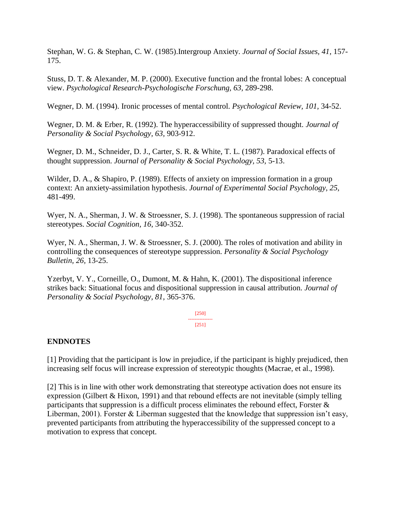Stephan, W. G. & Stephan, C. W. (1985).Intergroup Anxiety. *Journal of Social Issues, 41,* 157- 175.

Stuss, D. T. & Alexander, M. P. (2000). Executive function and the frontal lobes: A conceptual view. *Psychological Research-Psychologische Forschung, 63,* 289-298.

Wegner, D. M. (1994). Ironic processes of mental control. *Psychological Review, 101,* 34-52.

Wegner, D. M. & Erber, R. (1992). The hyperaccessibility of suppressed thought. *Journal of Personality & Social Psychology, 63,* 903-912.

Wegner, D. M., Schneider, D. J., Carter, S. R. & White, T. L. (1987). Paradoxical effects of thought suppression. *Journal of Personality & Social Psychology, 53,* 5-13.

Wilder, D. A., & Shapiro, P. (1989). Effects of anxiety on impression formation in a group context: An anxiety-assimilation hypothesis. *Journal of Experimental Social Psychology, 25,* 481-499.

Wyer, N. A., Sherman, J. W. & Stroessner, S. J. (1998). The spontaneous suppression of racial stereotypes. *Social Cognition, 16*, 340-352.

Wyer, N. A., Sherman, J. W. & Stroessner, S. J. (2000). The roles of motivation and ability in controlling the consequences of stereotype suppression. *Personality & Social Psychology Bulletin, 26,* 13-25.

Yzerbyt, V. Y., Corneille, O., Dumont, M. & Hahn, K. (2001). The dispositional inference strikes back: Situational focus and dispositional suppression in causal attribution. *Journal of Personality & Social Psychology, 81,* 365-376.

> [250] --------------- [251]

## **ENDNOTES**

[1] Providing that the participant is low in prejudice, if the participant is highly prejudiced, then increasing self focus will increase expression of stereotypic thoughts (Macrae, et al., 1998).

[2] This is in line with other work demonstrating that stereotype activation does not ensure its expression (Gilbert & Hixon, 1991) and that rebound effects are not inevitable (simply telling participants that suppression is a difficult process eliminates the rebound effect, Forster & Liberman, 2001). Forster & Liberman suggested that the knowledge that suppression isn't easy, prevented participants from attributing the hyperaccessibility of the suppressed concept to a motivation to express that concept.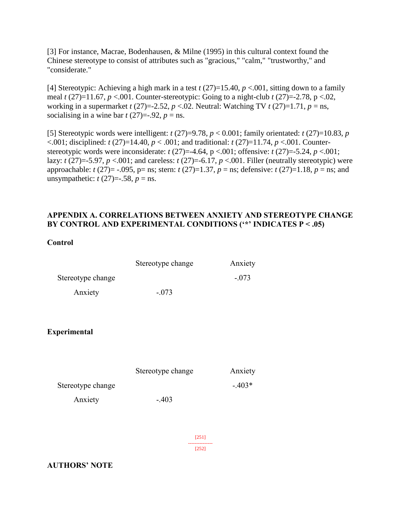[3] For instance, Macrae, Bodenhausen, & Milne (1995) in this cultural context found the Chinese stereotype to consist of attributes such as "gracious," "calm," "trustworthy," and "considerate."

[4] Stereotypic: Achieving a high mark in a test  $t$  (27)=15.40,  $p$  <.001, sitting down to a family meal *t* (27)=11.67, *p* <.001. Counter-stereotypic: Going to a night-club *t* (27)=-2.78, p <.02, working in a supermarket  $t(27)=2.52$ ,  $p < 02$ . Neutral: Watching TV  $t(27)=1.71$ ,  $p = ns$ , socialising in a wine bar  $t$  (27)=-.92,  $p =$ ns.

[5] Stereotypic words were intelligent:  $t(27)=9.78$ ,  $p < 0.001$ ; family orientated:  $t(27)=10.83$ ,  $p$  $\leq$ .001; disciplined: *t* (27)=14.40, *p*  $\leq$ .001; and traditional: *t* (27)=11.74, *p*  $\leq$ .001. Counterstereotypic words were inconsiderate:  $t(27)=4.64$ ,  $p < .001$ ; offensive:  $t(27)=5.24$ ,  $p < .001$ ; lazy:  $t(27) = -5.97$ ,  $p < .001$ ; and careless:  $t(27) = -6.17$ ,  $p < .001$ . Filler (neutrally stereotypic) were approachable: *t* (27)= -.095, p= ns; stern: *t* (27)=1.37, *p* = ns; defensive: *t* (27)=1.18, *p* = ns; and unsympathetic:  $t(27) = -0.58$ ,  $p = \text{ns}$ .

## **APPENDIX A. CORRELATIONS BETWEEN ANXIETY AND STEREOTYPE CHANGE BY CONTROL AND EXPERIMENTAL CONDITIONS ('\*' INDICATES P < .05)**

## **Control**

|                     | Stereotype change | Anxiety  |
|---------------------|-------------------|----------|
| Stereotype change   |                   | $-.073$  |
| Anxiety             | $-.073$           |          |
|                     |                   |          |
| <b>Experimental</b> |                   |          |
|                     |                   |          |
|                     | Stereotype change | Anxiety  |
| Stereotype change   |                   | $-.403*$ |
| Anxiety             | $-.403$           |          |
|                     |                   |          |
|                     | $[251]$           |          |
|                     | [252]             |          |

## **AUTHORS' NOTE**